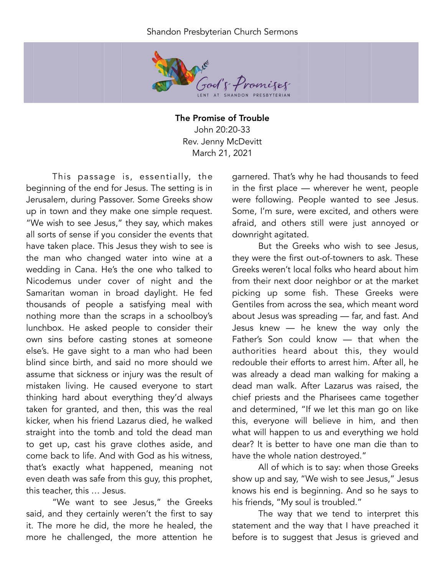## Shandon Presbyterian Church Sermons



The Promise of Trouble John 20:20-33 Rev. Jenny McDevitt March 21, 2021

This passage is, essentially, the beginning of the end for Jesus. The setting is in Jerusalem, during Passover. Some Greeks show up in town and they make one simple request. "We wish to see Jesus," they say, which makes all sorts of sense if you consider the events that have taken place. This Jesus they wish to see is the man who changed water into wine at a wedding in Cana. He's the one who talked to Nicodemus under cover of night and the Samaritan woman in broad daylight. He fed thousands of people a satisfying meal with nothing more than the scraps in a schoolboy's lunchbox. He asked people to consider their own sins before casting stones at someone else's. He gave sight to a man who had been blind since birth, and said no more should we assume that sickness or injury was the result of mistaken living. He caused everyone to start thinking hard about everything they'd always taken for granted, and then, this was the real kicker, when his friend Lazarus died, he walked straight into the tomb and told the dead man to get up, cast his grave clothes aside, and come back to life. And with God as his witness, that's exactly what happened, meaning not even death was safe from this guy, this prophet, this teacher, this … Jesus.

"We want to see Jesus," the Greeks said, and they certainly weren't the first to say it. The more he did, the more he healed, the more he challenged, the more attention he

garnered. That's why he had thousands to feed in the first place — wherever he went, people were following. People wanted to see Jesus. Some, I'm sure, were excited, and others were afraid, and others still were just annoyed or downright agitated.

But the Greeks who wish to see Jesus, they were the first out-of-towners to ask. These Greeks weren't local folks who heard about him from their next door neighbor or at the market picking up some fish. These Greeks were Gentiles from across the sea, which meant word about Jesus was spreading — far, and fast. And Jesus knew — he knew the way only the Father's Son could know — that when the authorities heard about this, they would redouble their efforts to arrest him. After all, he was already a dead man walking for making a dead man walk. After Lazarus was raised, the chief priests and the Pharisees came together and determined, "If we let this man go on like this, everyone will believe in him, and then what will happen to us and everything we hold dear? It is better to have one man die than to have the whole nation destroyed."

All of which is to say: when those Greeks show up and say, "We wish to see Jesus," Jesus knows his end is beginning. And so he says to his friends, "My soul is troubled."

The way that we tend to interpret this statement and the way that I have preached it before is to suggest that Jesus is grieved and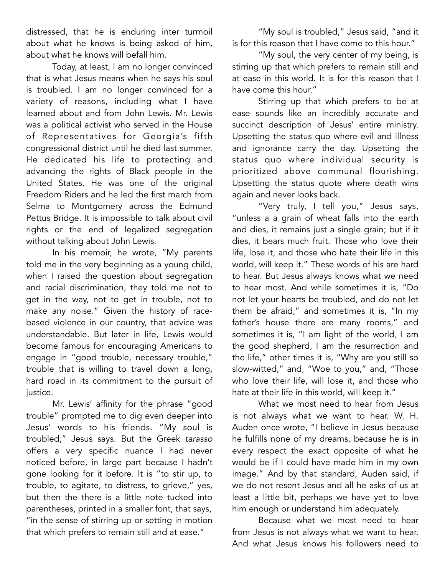distressed, that he is enduring inter turmoil about what he knows is being asked of him, about what he knows will befall him.

Today, at least, I am no longer convinced that is what Jesus means when he says his soul is troubled. I am no longer convinced for a variety of reasons, including what I have learned about and from John Lewis. Mr. Lewis was a political activist who served in the House of Representatives for Georgia's fifth congressional district until he died last summer. He dedicated his life to protecting and advancing the rights of Black people in the United States. He was one of the original Freedom Riders and he led the first march from Selma to Montgomery across the Edmund Pettus Bridge. It is impossible to talk about civil rights or the end of legalized segregation without talking about John Lewis.

In his memoir, he wrote, "My parents told me in the very beginning as a young child, when I raised the question about segregation and racial discrimination, they told me not to get in the way, not to get in trouble, not to make any noise." Given the history of racebased violence in our country, that advice was understandable. But later in life, Lewis would become famous for encouraging Americans to engage in "good trouble, necessary trouble," trouble that is willing to travel down a long, hard road in its commitment to the pursuit of justice.

Mr. Lewis' affinity for the phrase "good trouble" prompted me to dig even deeper into Jesus' words to his friends. "My soul is troubled," Jesus says. But the Greek *tarasso*  offers a very specific nuance I had never noticed before, in large part because I hadn't gone looking for it before. It is "to stir up, to trouble, to agitate, to distress, to grieve," yes, but then the there is a little note tucked into parentheses, printed in a smaller font, that says, "in the sense of stirring up or setting in motion that which prefers to remain still and at ease."

"My soul is troubled," Jesus said, "and it is for this reason that I have come to this hour."

"My soul, the very center of my being, is stirring up that which prefers to remain still and at ease in this world. It is for this reason that I have come this hour."

Stirring up that which prefers to be at ease sounds like an incredibly accurate and succinct description of Jesus' entire ministry. Upsetting the status quo where evil and illness and ignorance carry the day. Upsetting the status quo where individual security is prioritized above communal flourishing. Upsetting the status quote where death wins again and never looks back.

"Very truly, I tell you," Jesus says, "unless a a grain of wheat falls into the earth and dies, it remains just a single grain; but if it dies, it bears much fruit. Those who love their life, lose it, and those who hate their life in this world, will keep it." These words of his are hard to hear. But Jesus always knows what we need to hear most. And while sometimes it is, "Do not let your hearts be troubled, and do not let them be afraid," and sometimes it is, "In my father's house there are many rooms," and sometimes it is, "I am light of the world, I am the good shepherd, I am the resurrection and the life," other times it is, "Why are you still so slow-witted," and, "Woe to you," and, "Those who love their life, will lose it, and those who hate at their life in this world, will keep it."

What we most need to hear from Jesus is not always what we want to hear. W. H. Auden once wrote, "I believe in Jesus because he fulfills none of my dreams, because he is in every respect the exact opposite of what he would be if I could have made him in my own image." And by that standard, Auden said, if we do not resent Jesus and all he asks of us at least a little bit, perhaps we have yet to love him enough or understand him adequately.

Because what we most need to hear from Jesus is not always what we want to hear. And what Jesus knows his followers need to